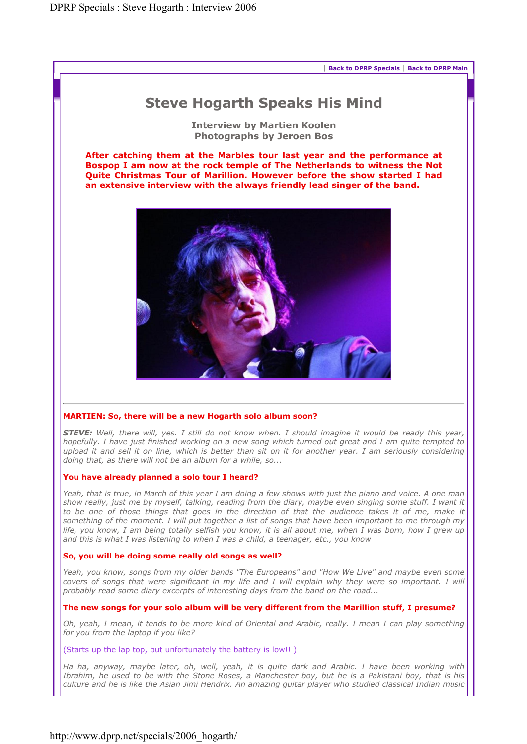

# Steve Hogarth Speaks His Mind

Interview by Martien Koolen Photographs by Jeroen Bos

After catching them at the Marbles tour last year and the performance at Bospop I am now at the rock temple of The Netherlands to witness the Not Quite Christmas Tour of Marillion. However before the show started I had an extensive interview with the always friendly lead singer of the band.



# MARTIEN: So, there will be a new Hogarth solo album soon?

*STEVE: Well, there will, yes. I still do not know when. I should imagine it would be ready this year, hopefully. I have just finished working on a new song which turned out great and I am quite tempted to upload it and sell it on line, which is better than sit on it for another year. I am seriously considering doing that, as there will not be an album for a while, so...* 

#### You have already planned a solo tour I heard?

*Yeah, that is true, in March of this year I am doing a few shows with just the piano and voice. A one man show really, just me by myself, talking, reading from the diary, maybe even singing some stuff. I want it*  to be one of those things that goes in the direction of that the audience takes it of me, make it *something of the moment. I will put together a list of songs that have been important to me through my*  life, you know, I am being totally selfish you know, it is all about me, when I was born, how I grew up *and this is what I was listening to when I was a child, a teenager, etc., you know* 

#### So, you will be doing some really old songs as well?

*Yeah, you know, songs from my older bands "The Europeans" and "How We Live" and maybe even some covers of songs that were significant in my life and I will explain why they were so important. I will probably read some diary excerpts of interesting days from the band on the road...* 

#### The new songs for your solo album will be very different from the Marillion stuff, I presume?

*Oh, yeah, I mean, it tends to be more kind of Oriental and Arabic, really. I mean I can play something for you from the laptop if you like?* 

## (Starts up the lap top, but unfortunately the battery is low!! )

*Ha ha, anyway, maybe later, oh, well, yeah, it is quite dark and Arabic. I have been working with Ibrahim, he used to be with the Stone Roses, a Manchester boy, but he is a Pakistani boy, that is his culture and he is like the Asian Jimi Hendrix. An amazing guitar player who studied classical Indian music*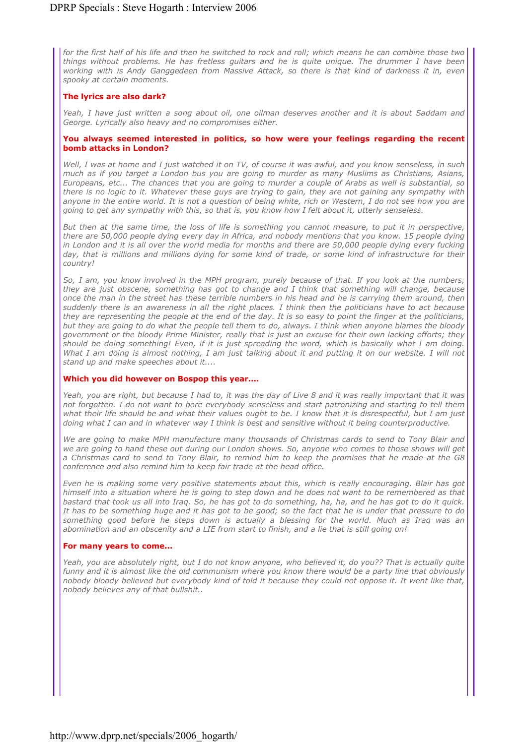*for the first half of his life and then he switched to rock and roll; which means he can combine those two things without problems. He has fretless guitars and he is quite unique. The drummer I have been working with is Andy Ganggedeen from Massive Attack, so there is that kind of darkness it in, even spooky at certain moments.* 

## The lyrics are also dark?

*Yeah, I have just written a song about oil, one oilman deserves another and it is about Saddam and George. Lyrically also heavy and no compromises either.* 

#### You always seemed interested in politics, so how were your feelings regarding the recent bomb attacks in London?

*Well, I was at home and I just watched it on TV, of course it was awful, and you know senseless, in such much as if you target a London bus you are going to murder as many Muslims as Christians, Asians, Europeans, etc... The chances that you are going to murder a couple of Arabs as well is substantial, so there is no logic to it. Whatever these guys are trying to gain, they are not gaining any sympathy with anyone in the entire world. It is not a question of being white, rich or Western, I do not see how you are going to get any sympathy with this, so that is, you know how I felt about it, utterly senseless.* 

*But then at the same time, the loss of life is something you cannot measure, to put it in perspective, there are 50,000 people dying every day in Africa, and nobody mentions that you know. 15 people dying*  in London and it is all over the world media for months and there are 50,000 people dying every fucking day, that is millions and millions dying for some kind of trade, or some kind of infrastructure for their *country!* 

*So, I am, you know involved in the MPH program, purely because of that. If you look at the numbers, they are just obscene, something has got to change and I think that something will change, because once the man in the street has these terrible numbers in his head and he is carrying them around, then suddenly there is an awareness in all the right places. I think then the politicians have to act because they are representing the people at the end of the day. It is so easy to point the finger at the politicians, but they are going to do what the people tell them to do, always. I think when anyone blames the bloody government or the bloody Prime Minister, really that is just an excuse for their own lacking efforts; they should be doing something! Even, if it is just spreading the word, which is basically what I am doing. What I am doing is almost nothing, I am just talking about it and putting it on our website. I will not stand up and make speeches about it....* 

#### Which you did however on Bospop this year....

*Yeah, you are right, but because I had to, it was the day of Live 8 and it was really important that it was not forgotten. I do not want to bore everybody senseless and start patronizing and starting to tell them what their life should be and what their values ought to be. I know that it is disrespectful, but I am just doing what I can and in whatever way I think is best and sensitive without it being counterproductive.* 

*We are going to make MPH manufacture many thousands of Christmas cards to send to Tony Blair and we are going to hand these out during our London shows. So, anyone who comes to those shows will get a Christmas card to send to Tony Blair, to remind him to keep the promises that he made at the G8 conference and also remind him to keep fair trade at the head office.* 

*Even he is making some very positive statements about this, which is really encouraging. Blair has got himself into a situation where he is going to step down and he does not want to be remembered as that bastard that took us all into Iraq. So, he has got to do something, ha, ha, and he has got to do it quick. It has to be something huge and it has got to be good; so the fact that he is under that pressure to do*  something good before he steps down is actually a blessing for the world. Much as Iraq was an *abomination and an obscenity and a LIE from start to finish, and a lie that is still going on!* 

#### For many years to come...

*Yeah, you are absolutely right, but I do not know anyone, who believed it, do you?? That is actually quite funny and it is almost like the old communism where you know there would be a party line that obviously nobody bloody believed but everybody kind of told it because they could not oppose it. It went like that, nobody believes any of that bullshit..*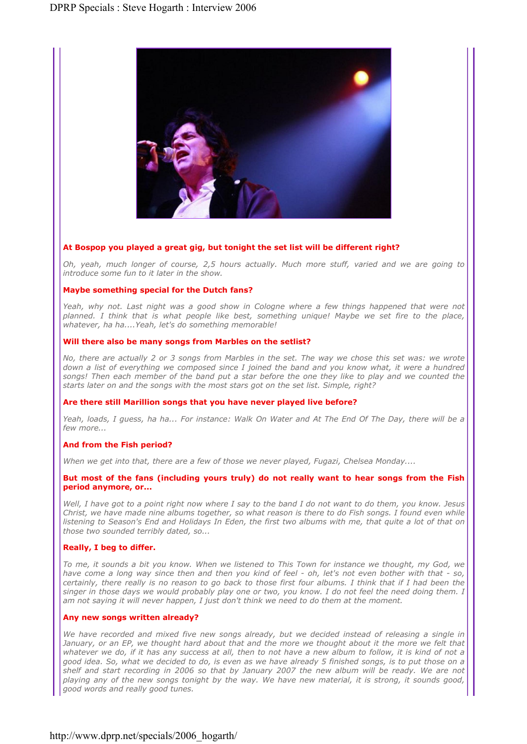

## At Bospop you played a great gig, but tonight the set list will be different right?

*Oh, yeah, much longer of course, 2,5 hours actually. Much more stuff, varied and we are going to introduce some fun to it later in the show.* 

#### Maybe something special for the Dutch fans?

Yeah, why not. Last night was a good show in Cologne where a few things happened that were not *planned. I think that is what people like best, something unique! Maybe we set fire to the place, whatever, ha ha....Yeah, let's do something memorable!* 

#### Will there also be many songs from Marbles on the setlist?

*No, there are actually 2 or 3 songs from Marbles in the set. The way we chose this set was: we wrote*  down a list of everything we composed since I joined the band and you know what, it were a hundred songs! Then each member of the band put a star before the one they like to play and we counted the *starts later on and the songs with the most stars got on the set list. Simple, right?* 

#### Are there still Marillion songs that you have never played live before?

*Yeah, loads, I guess, ha ha... For instance: Walk On Water and At The End Of The Day, there will be a few more...* 

#### And from the Fish period?

*When we get into that, there are a few of those we never played, Fugazi, Chelsea Monday....* 

#### But most of the fans (including yours truly) do not really want to hear songs from the Fish period anymore, or...

*Well, I have got to a point right now where I say to the band I do not want to do them, you know. Jesus Christ, we have made nine albums together, so what reason is there to do Fish songs. I found even while listening to Season's End and Holidays In Eden, the first two albums with me, that quite a lot of that on those two sounded terribly dated, so...* 

#### Really, I beg to differ.

*To me, it sounds a bit you know. When we listened to This Town for instance we thought, my God, we have come a long way since then and then you kind of feel - oh, let's not even bother with that - so, certainly, there really is no reason to go back to those first four albums. I think that if I had been the singer in those days we would probably play one or two, you know. I do not feel the need doing them. I am not saying it will never happen, I just don't think we need to do them at the moment.* 

#### Any new songs written already?

*We have recorded and mixed five new songs already, but we decided instead of releasing a single in January, or an EP, we thought hard about that and the more we thought about it the more we felt that whatever we do, if it has any success at all, then to not have a new album to follow, it is kind of not a good idea. So, what we decided to do, is even as we have already 5 finished songs, is to put those on a shelf and start recording in 2006 so that by January 2007 the new album will be ready. We are not playing any of the new songs tonight by the way. We have new material, it is strong, it sounds good, good words and really good tunes.*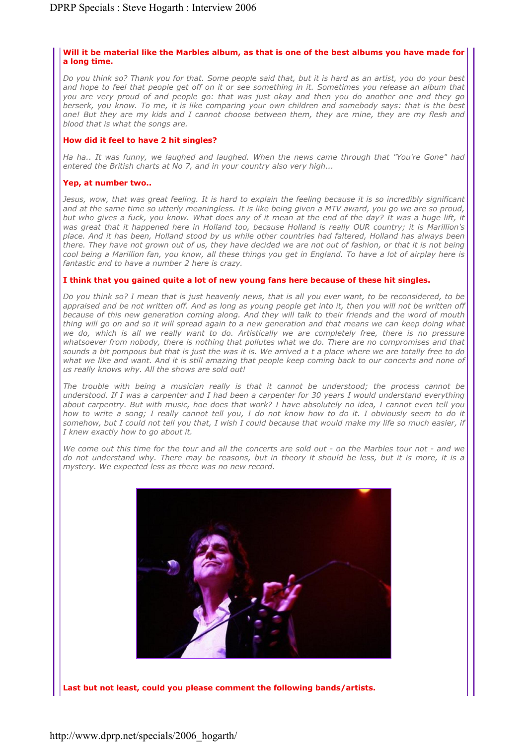# Will it be material like the Marbles album, as that is one of the best albums you have made for a long time.

*Do you think so? Thank you for that. Some people said that, but it is hard as an artist, you do your best*  and hope to feel that people get off on it or see something in it. Sometimes you release an album that *you are very proud of and people go: that was just okay and then you do another one and they go berserk, you know. To me, it is like comparing your own children and somebody says: that is the best one! But they are my kids and I cannot choose between them, they are mine, they are my flesh and blood that is what the songs are.* 

## How did it feel to have 2 hit singles?

*Ha ha.. It was funny, we laughed and laughed. When the news came through that "You're Gone" had entered the British charts at No 7, and in your country also very high...* 

## Yep, at number two..

*Jesus, wow, that was great feeling. It is hard to explain the feeling because it is so incredibly significant and at the same time so utterly meaningless. It is like being given a MTV award, you go we are so proud, but who gives a fuck, you know. What does any of it mean at the end of the day? It was a huge lift, it*  was great that it happened here in Holland too, because Holland is really OUR country; it is Marillion's *place. And it has been, Holland stood by us while other countries had faltered, Holland has always been there. They have not grown out of us, they have decided we are not out of fashion, or that it is not being cool being a Marillion fan, you know, all these things you get in England. To have a lot of airplay here is fantastic and to have a number 2 here is crazy.* 

## I think that you gained quite a lot of new young fans here because of these hit singles.

*Do you think so? I mean that is just heavenly news, that is all you ever want, to be reconsidered, to be*  appraised and be not written off. And as long as young people get into it, then you will not be written off *because of this new generation coming along. And they will talk to their friends and the word of mouth thing will go on and so it will spread again to a new generation and that means we can keep doing what we do, which is all we really want to do. Artistically we are completely free, there is no pressure whatsoever from nobody, there is nothing that pollutes what we do. There are no compromises and that sounds a bit pompous but that is just the was it is. We arrived a t a place where we are totally free to do*  what we like and want. And it is still amazing that people keep coming back to our concerts and none of *us really knows why. All the shows are sold out!* 

*The trouble with being a musician really is that it cannot be understood; the process cannot be understood. If I was a carpenter and I had been a carpenter for 30 years I would understand everything about carpentry. But with music, hoe does that work? I have absolutely no idea, I cannot even tell you how to write a song; I really cannot tell you, I do not know how to do it. I obviously seem to do it somehow, but I could not tell you that, I wish I could because that would make my life so much easier, if I knew exactly how to go about it.* 

*We come out this time for the tour and all the concerts are sold out - on the Marbles tour not - and we do not understand why. There may be reasons, but in theory it should be less, but it is more, it is a mystery. We expected less as there was no new record.*



Last but not least, could you please comment the following bands/artists.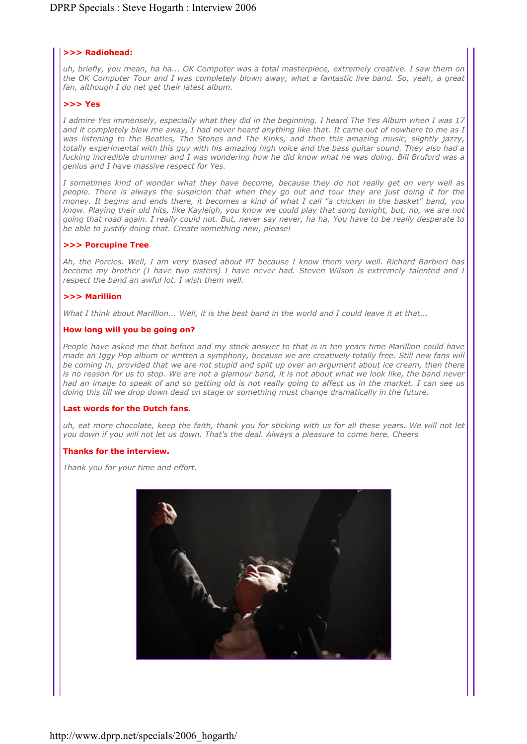# >>> Radiohead:

*uh, briefly, you mean, ha ha... OK Computer was a total masterpiece, extremely creative. I saw them on the OK Computer Tour and I was completely blown away, what a fantastic live band. So, yeah, a great fan, although I do net get their latest album.* 

## >>> Yes

*I admire Yes immensely, especially what they did in the beginning. I heard The Yes Album when I was 17 and it completely blew me away, I had never heard anything like that. It came out of nowhere to me as I was listening to the Beatles, The Stones and The Kinks, and then this amazing music, slightly jazzy, totally experimental with this guy with his amazing high voice and the bass guitar sound. They also had a fucking incredible drummer and I was wondering how he did know what he was doing. Bill Bruford was a genius and I have massive respect for Yes.* 

*I sometimes kind of wonder what they have become, because they do not really get on very well as people. There is always the suspicion that when they go out and tour they are just doing it for the money. It begins and ends there, it becomes a kind of what I call "a chicken in the basket" band, you know. Playing their old hits, like Kayleigh, you know we could play that song tonight, but, no, we are not going that road again. I really could not. But, never say never, ha ha. You have to be really desperate to be able to justify doing that. Create something new, please!* 

#### >>> Porcupine Tree

*Ah, the Porcies. Well, I am very biased about PT because I know them very well. Richard Barbieri has become my brother (I have two sisters) I have never had. Steven Wilson is extremely talented and I respect the band an awful lot. I wish them well.* 

## >>> Marillion

*What I think about Marillion... Well, it is the best band in the world and I could leave it at that...* 

## How long will you be going on?

*People have asked me that before and my stock answer to that is in ten years time Marillion could have made an Iggy Pop album or written a symphony, because we are creatively totally free. Still new fans will be coming in, provided that we are not stupid and split up over an argument about ice cream, then there is no reason for us to stop. We are not a glamour band, it is not about what we look like, the band never had an image to speak of and so getting old is not really going to affect us in the market. I can see us doing this till we drop down dead on stage or something must change dramatically in the future.* 

#### Last words for the Dutch fans.

*uh, eat more chocolate, keep the faith, thank you for sticking with us for all these years. We will not let you down if you will not let us down. That's the deal. Always a pleasure to come here. Cheers* 

#### Thanks for the interview.

*Thank you for your time and effort.*